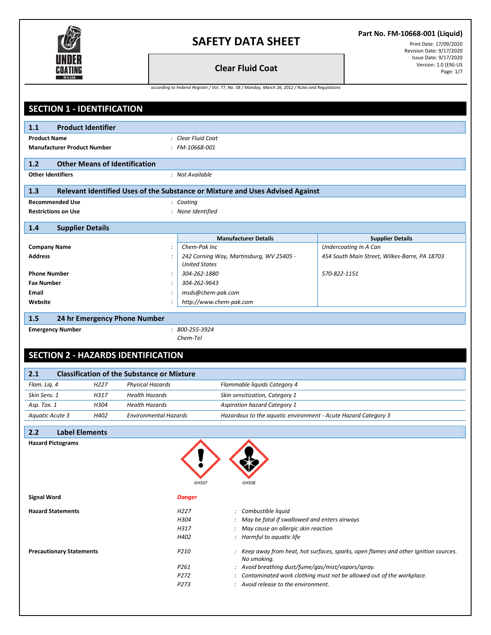

### **Part No. FM-10668-001 (Liquid)**

Print Date: 17/09/2020 Revision Date: 9/17/2020 Issue Date: 9/17/2020<br>Version: 1.0 (EN)-US **Clear Fluid Coat Coat** Page: 1/7

*according to Federal Register / Vol. 77, No. 58 / Monday, March 26, 2012 / Rules and Regulations*

| <b>SECTION 1 - IDENTIFICATION</b>                              |                                                                               |                                                                                      |  |
|----------------------------------------------------------------|-------------------------------------------------------------------------------|--------------------------------------------------------------------------------------|--|
| 1.1<br><b>Product Identifier</b>                               |                                                                               |                                                                                      |  |
| <b>Product Name</b>                                            | : Clear Fluid Coat                                                            |                                                                                      |  |
| <b>Manufacturer Product Number</b>                             | : FM-10668-001                                                                |                                                                                      |  |
|                                                                |                                                                               |                                                                                      |  |
| 1.2<br><b>Other Means of Identification</b>                    |                                                                               |                                                                                      |  |
| <b>Other Identifiers</b>                                       | : Not Available                                                               |                                                                                      |  |
| 1.3                                                            | Relevant Identified Uses of the Substance or Mixture and Uses Advised Against |                                                                                      |  |
| <b>Recommended Use</b>                                         | : Coating                                                                     |                                                                                      |  |
| <b>Restrictions on Use</b>                                     | : None Identified                                                             |                                                                                      |  |
| 1.4<br><b>Supplier Details</b>                                 |                                                                               |                                                                                      |  |
|                                                                | <b>Manufacturer Details</b>                                                   | <b>Supplier Details</b>                                                              |  |
| <b>Company Name</b>                                            | Chem-Pak Inc                                                                  | Undercoating In A Can                                                                |  |
| <b>Address</b>                                                 | 242 Corning Way, Martinsburg, WV 25405 -<br><b>United States</b>              | 454 South Main Street, Wilkes-Barre, PA 18703                                        |  |
| <b>Phone Number</b><br>$\ddot{\cdot}$                          | 304-262-1880                                                                  | 570-822-1151                                                                         |  |
| <b>Fax Number</b>                                              | 304-262-9643                                                                  |                                                                                      |  |
| Email<br>$\cdot$                                               | msds@chem-pak.com                                                             |                                                                                      |  |
| Website                                                        | http://www.chem-pak.com                                                       |                                                                                      |  |
| 1.5<br>24 hr Emergency Phone Number                            |                                                                               |                                                                                      |  |
| <b>Emergency Number</b>                                        | $: 800 - 255 - 3924$                                                          |                                                                                      |  |
|                                                                | Chem-Tel                                                                      |                                                                                      |  |
|                                                                |                                                                               |                                                                                      |  |
| <b>SECTION 2 - HAZARDS IDENTIFICATION</b>                      |                                                                               |                                                                                      |  |
| <b>Classification of the Substance or Mixture</b><br>2.1       |                                                                               |                                                                                      |  |
| Flam. Liq. 4<br>H <sub>227</sub><br><b>Physical Hazards</b>    | Flammable liquids Category 4                                                  |                                                                                      |  |
| Skin Sens. 1<br>H317<br><b>Health Hazards</b>                  | Skin sensitization, Category 1                                                |                                                                                      |  |
| H304<br><b>Health Hazards</b><br>Asp. Tox. 1                   | <b>Aspiration hazard Category 1</b>                                           |                                                                                      |  |
| H402<br><b>Environmental Hazards</b><br><b>Aquatic Acute 3</b> | Hazardous to the aquatic environment - Acute Hazard Category 3                |                                                                                      |  |
| 2.2<br><b>Label Elements</b>                                   |                                                                               |                                                                                      |  |
| <b>Hazard Pictograms</b>                                       |                                                                               |                                                                                      |  |
|                                                                |                                                                               |                                                                                      |  |
|                                                                |                                                                               |                                                                                      |  |
|                                                                |                                                                               |                                                                                      |  |
|                                                                | GHS08<br>GHS07                                                                |                                                                                      |  |
| <b>Signal Word</b>                                             | <b>Danger</b>                                                                 |                                                                                      |  |
| <b>Hazard Statements</b>                                       | H <sub>227</sub><br>: Combustible liquid                                      |                                                                                      |  |
|                                                                | : May be fatal if swallowed and enters airways<br>H304                        |                                                                                      |  |
|                                                                | : May cause an allergic skin reaction<br>H317                                 |                                                                                      |  |
|                                                                | : Harmful to aquatic life<br>H402                                             |                                                                                      |  |
| <b>Precautionary Statements</b>                                | P210<br>No smoking.                                                           | : Keep away from heat, hot surfaces, sparks, open flames and other ignition sources. |  |
|                                                                | : Avoid breathing dust/fume/gas/mist/vapors/spray.<br>P261                    |                                                                                      |  |
|                                                                | P272                                                                          | : Contaminated work clothing must not be allowed out of the workplace.               |  |
|                                                                | P273<br>: Avoid release to the environment.                                   |                                                                                      |  |
|                                                                |                                                                               |                                                                                      |  |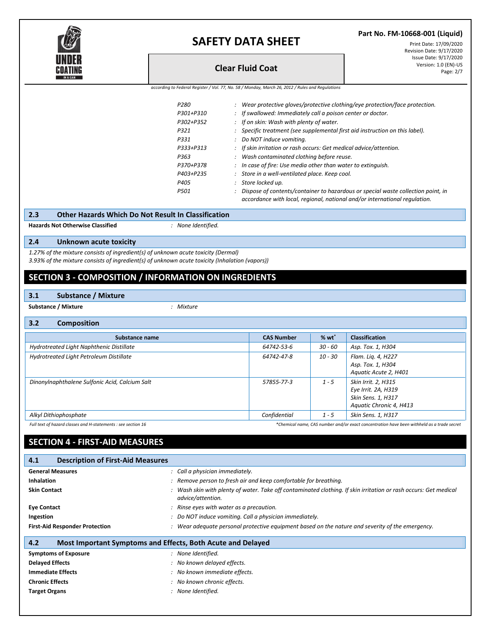

**Part No. FM-10668-001 (Liquid)**

Print Date: 17/09/2020 Revision Date: 9/17/2020 Issue Date: 9/17/2020 Version: 1.0 (EN)-US **Clear Fluid Coat** Page: 2/7

| according to Federal Register / Vol. 77, No. 58 / Monday, March 26, 2012 / Rules and Regulations |  |  |  |  |
|--------------------------------------------------------------------------------------------------|--|--|--|--|
|--------------------------------------------------------------------------------------------------|--|--|--|--|

| P280 |           | Wear protective gloves/protective clothing/eye protection/face protection.                                                                                     |
|------|-----------|----------------------------------------------------------------------------------------------------------------------------------------------------------------|
|      | P301+P310 | : If swallowed: Immediately call a poison center or doctor.                                                                                                    |
|      | P302+P352 | If on skin: Wash with plenty of water.                                                                                                                         |
| P321 |           | Specific treatment (see supplemental first aid instruction on this label).                                                                                     |
| P331 |           | Do NOT induce vomiting.                                                                                                                                        |
|      | P333+P313 | : If skin irritation or rash occurs: Get medical advice/attention.                                                                                             |
| P363 |           | Wash contaminated clothing before reuse.                                                                                                                       |
|      | P370+P378 | In case of fire: Use media other than water to extinguish.                                                                                                     |
|      | P403+P235 | Store in a well-ventilated place. Keep cool.                                                                                                                   |
| P405 |           | Store locked up.                                                                                                                                               |
| P501 |           | Dispose of contents/container to hazardous or special waste collection point, in<br>accordance with local, regional, national and/or international regulation. |

**2.3 Other Hazards Which Do Not Result In Classification**

**Hazards Not Otherwise Classified** *: None Identified.*

### **2.4 Unknown acute toxicity**

*1.27% of the mixture consists of ingredient(s) of unknown acute toxicity (Dermal)*

*3.93% of the mixture consists of ingredient(s) of unknown acute toxicity (Inhalation (vapors))*

## **SECTION 3 - COMPOSITION / INFORMATION ON INGREDIENTS**

#### **3.1 Substance / Mixture**

**Substance / Mixture** *: Mixture*

#### **3.2 Composition**

| Substance name                                                | <b>CAS Number</b> | $%$ wt $*$ | <b>Classification</b>                                                                      |
|---------------------------------------------------------------|-------------------|------------|--------------------------------------------------------------------------------------------|
|                                                               |                   |            |                                                                                            |
| Hydrotreated Light Naphthenic Distillate                      | 64742-53-6        | $30 - 60$  | Asp. Tox. 1, H304                                                                          |
| Hydrotreated Light Petroleum Distillate                       | 64742-47-8        | 10 - 30    | Flam. Lig. 4, H227                                                                         |
|                                                               |                   |            | Asp. Tox. 1, H304                                                                          |
|                                                               |                   |            | Aquatic Acute 2, H401                                                                      |
| Dinonylnaphthalene Sulfonic Acid, Calcium Salt                | 57855-77-3        | $1 - 5$    | Skin Irrit. 2, H315                                                                        |
|                                                               |                   |            | Eye Irrit. 2A, H319                                                                        |
|                                                               |                   |            | Skin Sens. 1, H317                                                                         |
|                                                               |                   |            | Aquatic Chronic 4, H413                                                                    |
| Alkyl Dithiophosphate                                         | Confidential      | $1 - 5$    | Skin Sens. 1, H317                                                                         |
| Full text of hazard classes and H-statements : see section 16 |                   |            | *Chemical name, CAS number and/or exact concentration have been withheld as a trade secret |

## **SECTION 4 - FIRST-AID MEASURES**

| 4.1<br><b>Description of First-Aid Measures</b>                    |                                                                                                                                       |
|--------------------------------------------------------------------|---------------------------------------------------------------------------------------------------------------------------------------|
| <b>General Measures</b>                                            | : Call a physician immediately.                                                                                                       |
| <b>Inhalation</b>                                                  | : Remove person to fresh air and keep comfortable for breathing.                                                                      |
| <b>Skin Contact</b>                                                | : Wash skin with plenty of water. Take off contaminated clothing. If skin irritation or rash occurs: Get medical<br>advice/attention. |
| <b>Eye Contact</b>                                                 | : Rinse eyes with water as a precaution.                                                                                              |
| Ingestion                                                          | : Do NOT induce vomiting. Call a physician immediately.                                                                               |
| <b>First-Aid Responder Protection</b>                              | : Wear adequate personal protective equipment based on the nature and severity of the emergency.                                      |
| 4.2<br>Most Important Symptoms and Effects, Both Acute and Delayed |                                                                                                                                       |
| <b>Symptoms of Exposure</b>                                        | : None Identified.                                                                                                                    |
| <b>Delayed Effects</b>                                             | : No known delayed effects.                                                                                                           |
| <b>Immediate Effects</b>                                           | : No known immediate effects.                                                                                                         |
| <b>Chronic Effects</b>                                             | : No known chronic effects.                                                                                                           |
| <b>Target Organs</b>                                               | : None Identified.                                                                                                                    |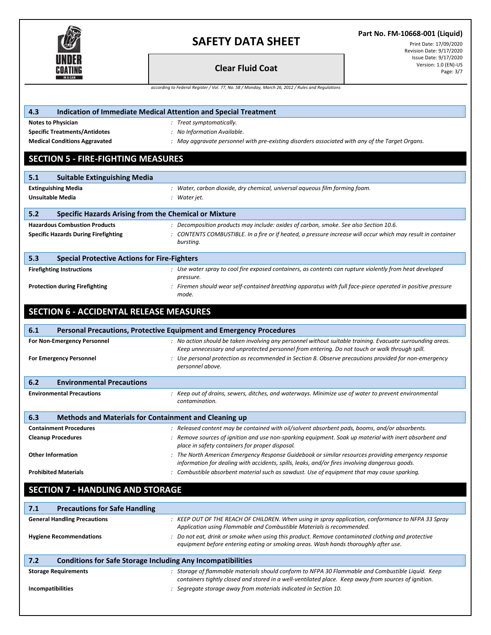

## **Part No. FM-10668-001 (Liquid)**

Print Date: 17/09/2020 Revision Date: 9/17/2020 Issue Date: 9/17/2020<br>Version: 1.0 (EN)-US

|                                                                                                  | <b>Clear Fluid Coat</b>                                                                                                                                                                                   | Version: 1.0 (EN)-US<br>Page: 3/7 |  |  |  |  |
|--------------------------------------------------------------------------------------------------|-----------------------------------------------------------------------------------------------------------------------------------------------------------------------------------------------------------|-----------------------------------|--|--|--|--|
| according to Federal Register / Vol. 77, No. 58 / Monday, March 26, 2012 / Rules and Regulations |                                                                                                                                                                                                           |                                   |  |  |  |  |
|                                                                                                  |                                                                                                                                                                                                           |                                   |  |  |  |  |
| 4.3                                                                                              | Indication of Immediate Medical Attention and Special Treatment                                                                                                                                           |                                   |  |  |  |  |
| <b>Notes to Physician</b>                                                                        | : Treat symptomatically.                                                                                                                                                                                  |                                   |  |  |  |  |
| <b>Specific Treatments/Antidotes</b>                                                             | : No Information Available.                                                                                                                                                                               |                                   |  |  |  |  |
| <b>Medical Conditions Aggravated</b>                                                             | : May aggravate personnel with pre-existing disorders associated with any of the Target Organs.                                                                                                           |                                   |  |  |  |  |
|                                                                                                  |                                                                                                                                                                                                           |                                   |  |  |  |  |
| <b>SECTION 5 - FIRE-FIGHTING MEASURES</b>                                                        |                                                                                                                                                                                                           |                                   |  |  |  |  |
| 5.1<br><b>Suitable Extinguishing Media</b>                                                       |                                                                                                                                                                                                           |                                   |  |  |  |  |
| <b>Extinguishing Media</b>                                                                       | : Water, carbon dioxide, dry chemical, universal aqueous film forming foam.                                                                                                                               |                                   |  |  |  |  |
| <b>Unsuitable Media</b>                                                                          | : Water jet.                                                                                                                                                                                              |                                   |  |  |  |  |
|                                                                                                  |                                                                                                                                                                                                           |                                   |  |  |  |  |
| 5.2                                                                                              | <b>Specific Hazards Arising from the Chemical or Mixture</b>                                                                                                                                              |                                   |  |  |  |  |
| <b>Hazardous Combustion Products</b>                                                             | : Decomposition products may include: oxides of carbon, smoke. See also Section 10.6.                                                                                                                     |                                   |  |  |  |  |
| <b>Specific Hazards During Firefighting</b>                                                      | : CONTENTS COMBUSTIBLE. In a fire or if heated, a pressure increase will occur which may result in container<br>bursting.                                                                                 |                                   |  |  |  |  |
|                                                                                                  |                                                                                                                                                                                                           |                                   |  |  |  |  |
| 5.3<br><b>Special Protective Actions for Fire-Fighters</b>                                       |                                                                                                                                                                                                           |                                   |  |  |  |  |
| <b>Firefighting Instructions</b>                                                                 | : Use water spray to cool fire exposed containers, as contents can rupture violently from heat developed                                                                                                  |                                   |  |  |  |  |
| <b>Protection during Firefighting</b>                                                            | pressure.<br>: Firemen should wear self-contained breathing apparatus with full face-piece operated in positive pressure                                                                                  |                                   |  |  |  |  |
|                                                                                                  | mode.                                                                                                                                                                                                     |                                   |  |  |  |  |
|                                                                                                  |                                                                                                                                                                                                           |                                   |  |  |  |  |
| <b>SECTION 6 - ACCIDENTAL RELEASE MEASURES</b>                                                   |                                                                                                                                                                                                           |                                   |  |  |  |  |
| 6.1                                                                                              | Personal Precautions, Protective Equipment and Emergency Procedures                                                                                                                                       |                                   |  |  |  |  |
| For Non-Emergency Personnel                                                                      | : No action should be taken involving any personnel without suitable training. Evacuate surrounding areas.                                                                                                |                                   |  |  |  |  |
|                                                                                                  | Keep unnecessary and unprotected personnel from entering. Do not touch or walk through spill.                                                                                                             |                                   |  |  |  |  |
| <b>For Emergency Personnel</b>                                                                   | : Use personal protection as recommended in Section 8. Observe precautions provided for non-emergency                                                                                                     |                                   |  |  |  |  |
|                                                                                                  | personnel above.                                                                                                                                                                                          |                                   |  |  |  |  |
| <b>Environmental Precautions</b><br>6.2                                                          |                                                                                                                                                                                                           |                                   |  |  |  |  |
| <b>Environmental Precautions</b>                                                                 | : Keep out of drains, sewers, ditches, and waterways. Minimize use of water to prevent environmental                                                                                                      |                                   |  |  |  |  |
|                                                                                                  | contamination.                                                                                                                                                                                            |                                   |  |  |  |  |
| 6.3                                                                                              | <b>Methods and Materials for Containment and Cleaning up</b>                                                                                                                                              |                                   |  |  |  |  |
| <b>Containment Procedures</b>                                                                    | : Released content may be contained with oil/solvent absorbent pads, booms, and/or absorbents.                                                                                                            |                                   |  |  |  |  |
| <b>Cleanup Procedures</b>                                                                        | : Remove sources of ignition and use non-sparking equipment. Soak up material with inert absorbent and                                                                                                    |                                   |  |  |  |  |
|                                                                                                  | place in safety containers for proper disposal.                                                                                                                                                           |                                   |  |  |  |  |
| <b>Other Information</b>                                                                         | : The North American Emergency Response Guidebook or similar resources providing emergency response                                                                                                       |                                   |  |  |  |  |
|                                                                                                  | information for dealing with accidents, spills, leaks, and/or fires involving dangerous goods.                                                                                                            |                                   |  |  |  |  |
| <b>Prohibited Materials</b>                                                                      | : Combustible absorbent material such as sawdust. Use of equipment that may cause sparking.                                                                                                               |                                   |  |  |  |  |
| <b>SECTION 7 - HANDLING AND STORAGE</b>                                                          |                                                                                                                                                                                                           |                                   |  |  |  |  |
|                                                                                                  |                                                                                                                                                                                                           |                                   |  |  |  |  |
| 7.1<br><b>Precautions for Safe Handling</b>                                                      |                                                                                                                                                                                                           |                                   |  |  |  |  |
| <b>General Handling Precautions</b>                                                              | : KEEP OUT OF THE REACH OF CHILDREN. When using in spray application, conformance to NFPA 33 Spray                                                                                                        |                                   |  |  |  |  |
|                                                                                                  | Application using Flammable and Combustible Materials is recommended.<br>: Do not eat, drink or smoke when using this product. Remove contaminated clothing and protective                                |                                   |  |  |  |  |
| <b>Hygiene Recommendations</b>                                                                   | equipment before entering eating or smoking areas. Wash hands thoroughly after use.                                                                                                                       |                                   |  |  |  |  |
|                                                                                                  |                                                                                                                                                                                                           |                                   |  |  |  |  |
| 7.2                                                                                              | <b>Conditions for Safe Storage Including Any Incompatibilities</b>                                                                                                                                        |                                   |  |  |  |  |
| <b>Storage Requirements</b>                                                                      | : Storage of flammable materials should conform to NFPA 30 Flammable and Combustible Liquid. Keep<br>containers tightly closed and stored in a well-ventilated place. Keep away from sources of ignition. |                                   |  |  |  |  |
| <b>Incompatibilities</b>                                                                         | : Segregate storage away from materials indicated in Section 10.                                                                                                                                          |                                   |  |  |  |  |
|                                                                                                  |                                                                                                                                                                                                           |                                   |  |  |  |  |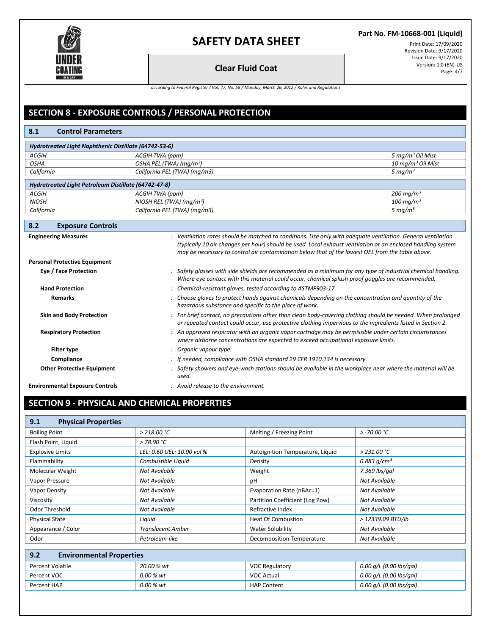

### **Part No. FM-10668-001 (Liquid)**

Print Date: 17/09/2020 Revision Date: 9/17/2020 Issue Date: 9/17/2020 Version: 1.0 (EN)-US **Clear Fluid Coat** Page: 4/7

*according to Federal Register / Vol. 77, No. 58 / Monday, March 26, 2012 / Rules and Regulations*

## **SECTION 8 - EXPOSURE CONTROLS / PERSONAL PROTECTION**

## **8.1 Control Parameters** *Hydrotreated Light Naphthenic Distillate (64742-53-6) ACGIH ACGIH TWA (ppm) 5 mg/m³ Oil Mist OSHA OSHA PEL (TWA) (mg/m<sup>3</sup>) 10 mg/m*<br> *California California PEL (TWA) (mg/m3) 5 mg/m<sup>3</sup> <i>5 mg/m<sup>3</sup> California California PEL (TWA) (mg/m3) 5 mg/m³ Hydrotreated Light Petroleum Distillate (64742-47-8) ACGIH ACGIH TWA (ppm) 200 mg/m³ NIOSH NIOSH REL (TWA) (mg/m³) 100 mg/m³ California California PEL (TWA) (mg/m3) 5 mg/m³* **8.2 Exposure Controls Engineering Measures** *: Ventilation rates should be matched to conditions. Use only with adequate ventilation. General ventilation (typically 10 air changes per hour) should be used. Local exhaust ventilation or an enclosed handling system may be necessary to control air contamination below that of the lowest OEL from the table above.* **Personal Protective Equipment Eye / Face Protection** *: Safety glasses with side shields are recommended as a minimum for any type of industrial chemical handling. Where eye contact with this material could occur, chemical splash proof goggles are recommended.* **Hand Protection** *: Chemical-resistant gloves, tested according to ASTMF903-17.* **Remarks** *: Choose gloves to protect hands against chemicals depending on the concentration and quantity of the hazardous substance and specific to the place of work.* **Skin and Body Protection** *: For brief contact, no precautions other than clean body-covering clothing should be needed. When prolonged or repeated contact could occur, use protective clothing impervious to the ingredients listed in Section 2.* **Respiratory Protection** *: An approved respirator with an organic vapor cartridge may be permissible under certain circumstances where airborne concentrations are expected to exceed occupational exposure limits.* **Filter type** *: Organic vapour type.* **Compliance** *: If needed, compliance with OSHA standard 29 CFR 1910.134 is necessary.* **Other Protective Equipment** *: Safety showers and eye-wash stations should be available in the workplace near where the material will be used.* **Environmental Exposure Controls** *: Avoid release to the environment.*

# **SECTION 9 - PHYSICAL AND CHEMICAL PROPERTIES**

| 9.1<br><b>Physical Properties</b>      |                            |                                  |                           |  |  |
|----------------------------------------|----------------------------|----------------------------------|---------------------------|--|--|
| <b>Boiling Point</b>                   | $>$ 218.00 °C              | Melting / Freezing Point         | $> -70.00 °C$             |  |  |
| Flash Point, Liquid                    | > 78.90 °C                 |                                  |                           |  |  |
| <b>Explosive Limits</b>                | LEL: 0.60 UEL: 10.00 vol % | Autoignition Temperature, Liquid | > 231.00 °C               |  |  |
| Flammability                           | Combustible Liquid         | Density                          | 0.883 $q/cm^3$            |  |  |
| Molecular Weight                       | Not Available              | Weight                           | 7.369 lbs/gal             |  |  |
| Vapor Pressure                         | Not Available              | pH                               | Not Available             |  |  |
| Vapor Density                          | Not Available              | Evaporation Rate (nBAc=1)        | <b>Not Available</b>      |  |  |
| Viscosity                              | Not Available              | Partition Coefficient (Log Pow)  | Not Available             |  |  |
| Odor Threshold                         | Not Available              | Refractive Index                 | Not Available             |  |  |
| <b>Physical State</b>                  | Liguid                     | <b>Heat Of Combustion</b>        | > 12339.09 BTU/lb         |  |  |
| Appearance / Color                     | <b>Translucent Amber</b>   | Water Solubility                 | Not Available             |  |  |
| Odor                                   | Petroleum-like             | <b>Decomposition Temperature</b> | Not Available             |  |  |
|                                        |                            |                                  |                           |  |  |
| 9.2<br><b>Environmental Properties</b> |                            |                                  |                           |  |  |
| <b>Percent Volatile</b>                | 20.00 % wt                 | <b>VOC Regulatory</b>            | $0.00$ g/L (0.00 lbs/gal) |  |  |
| Percent VOC                            | 0.00 % wt                  | <b>VOC Actual</b>                | $0.00$ g/L (0.00 lbs/gal) |  |  |
| Percent HAP                            | 0.00 % wt                  | <b>HAP Content</b>               | $0.00$ g/L (0.00 lbs/gal) |  |  |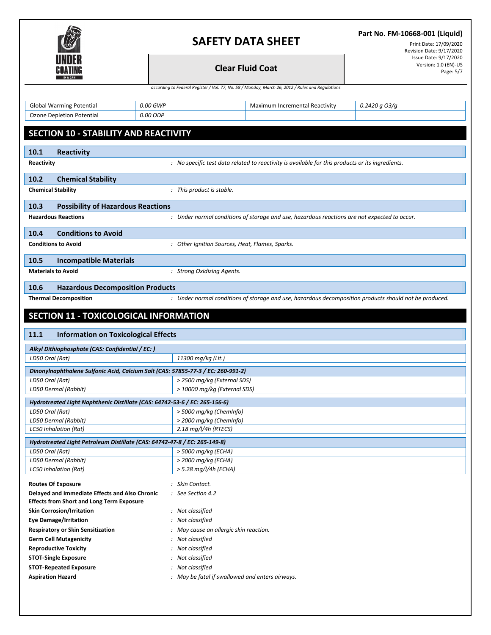

**Part No. FM-10668-001 (Liquid)**

Print Date: 17/09/2020 Revision Date: 9/17/2020 Issue Date: 9/17/2020<br>Version: 1.0 (EN)-US **Clear Fluid Coat Coat** Page: 5/7

*according to Federal Register / Vol. 77, No. 58 / Monday, March 26, 2012 / Rules and Regulations*

|                 | <b>Global Warming Potential</b>                                            | 0.00 GWP                                                                         | Maximum Incremental Reactivity                                                                         | 0.2420 g O3/g |  |  |  |  |
|-----------------|----------------------------------------------------------------------------|----------------------------------------------------------------------------------|--------------------------------------------------------------------------------------------------------|---------------|--|--|--|--|
|                 | Ozone Depletion Potential                                                  | 0.00 ODP                                                                         |                                                                                                        |               |  |  |  |  |
|                 |                                                                            |                                                                                  |                                                                                                        |               |  |  |  |  |
|                 | SECTION 10 - STABILITY AND REACTIVITY                                      |                                                                                  |                                                                                                        |               |  |  |  |  |
|                 |                                                                            |                                                                                  |                                                                                                        |               |  |  |  |  |
| 10.1            | <b>Reactivity</b>                                                          |                                                                                  |                                                                                                        |               |  |  |  |  |
| Reactivity      |                                                                            |                                                                                  | : No specific test data related to reactivity is available for this products or its ingredients.       |               |  |  |  |  |
|                 |                                                                            |                                                                                  |                                                                                                        |               |  |  |  |  |
| 10.2            | <b>Chemical Stability</b>                                                  |                                                                                  |                                                                                                        |               |  |  |  |  |
|                 | <b>Chemical Stability</b>                                                  | : This product is stable.                                                        |                                                                                                        |               |  |  |  |  |
| 10.3            | <b>Possibility of Hazardous Reactions</b>                                  |                                                                                  |                                                                                                        |               |  |  |  |  |
|                 | <b>Hazardous Reactions</b>                                                 |                                                                                  | : Under normal conditions of storage and use, hazardous reactions are not expected to occur.           |               |  |  |  |  |
|                 |                                                                            |                                                                                  |                                                                                                        |               |  |  |  |  |
| 10.4            | <b>Conditions to Avoid</b>                                                 |                                                                                  |                                                                                                        |               |  |  |  |  |
|                 | <b>Conditions to Avoid</b>                                                 |                                                                                  | : Other Ignition Sources, Heat, Flames, Sparks.                                                        |               |  |  |  |  |
|                 |                                                                            |                                                                                  |                                                                                                        |               |  |  |  |  |
| 10.5            | <b>Incompatible Materials</b>                                              |                                                                                  |                                                                                                        |               |  |  |  |  |
|                 | <b>Materials to Avoid</b>                                                  | : Strong Oxidizing Agents.                                                       |                                                                                                        |               |  |  |  |  |
| 10.6            | <b>Hazardous Decomposition Products</b>                                    |                                                                                  |                                                                                                        |               |  |  |  |  |
|                 | <b>Thermal Decomposition</b>                                               |                                                                                  | : Under normal conditions of storage and use, hazardous decomposition products should not be produced. |               |  |  |  |  |
|                 |                                                                            |                                                                                  |                                                                                                        |               |  |  |  |  |
|                 | SECTION 11 - TOXICOLOGICAL INFORMATION                                     |                                                                                  |                                                                                                        |               |  |  |  |  |
| 11.1            | <b>Information on Toxicological Effects</b>                                |                                                                                  |                                                                                                        |               |  |  |  |  |
|                 |                                                                            |                                                                                  |                                                                                                        |               |  |  |  |  |
|                 | Alkyl Dithiophosphate (CAS: Confidential / EC: )                           |                                                                                  |                                                                                                        |               |  |  |  |  |
|                 | LD50 Oral (Rat)<br>11300 mg/kg (Lit.)                                      |                                                                                  |                                                                                                        |               |  |  |  |  |
|                 |                                                                            | Dinonylnaphthalene Sulfonic Acid, Calcium Salt (CAS: 57855-77-3 / EC: 260-991-2) |                                                                                                        |               |  |  |  |  |
|                 |                                                                            |                                                                                  |                                                                                                        |               |  |  |  |  |
| LD50 Oral (Rat) |                                                                            |                                                                                  | > 2500 mg/kg (External SDS)                                                                            |               |  |  |  |  |
|                 | LD50 Dermal (Rabbit)                                                       |                                                                                  | > 10000 mg/kg (External SDS)                                                                           |               |  |  |  |  |
|                 |                                                                            |                                                                                  |                                                                                                        |               |  |  |  |  |
|                 | Hydrotreated Light Naphthenic Distillate (CAS: 64742-53-6 / EC: 265-156-6) |                                                                                  |                                                                                                        |               |  |  |  |  |
| LD50 Oral (Rat) | LD50 Dermal (Rabbit)                                                       |                                                                                  | > 5000 mg/kg (ChemInfo)<br>> 2000 mg/kg (ChemInfo)                                                     |               |  |  |  |  |
|                 | <b>LC50 Inhalation (Rat)</b>                                               | $2.18$ mg/l/4h (RTECS)                                                           |                                                                                                        |               |  |  |  |  |
|                 |                                                                            |                                                                                  |                                                                                                        |               |  |  |  |  |
|                 | Hydrotreated Light Petroleum Distillate (CAS: 64742-47-8 / EC: 265-149-8)  |                                                                                  |                                                                                                        |               |  |  |  |  |
| LD50 Oral (Rat) |                                                                            | > 5000 mg/kg (ECHA)                                                              |                                                                                                        |               |  |  |  |  |
|                 | LD50 Dermal (Rabbit)                                                       | > 2000 mg/kg (ECHA)                                                              |                                                                                                        |               |  |  |  |  |
|                 | <b>LC50 Inhalation (Rat)</b>                                               |                                                                                  | > 5.28 mg/l/4h (ECHA)                                                                                  |               |  |  |  |  |
|                 | <b>Routes Of Exposure</b>                                                  | : Skin Contact.                                                                  |                                                                                                        |               |  |  |  |  |
|                 | Delayed and Immediate Effects and Also Chronic                             | : See Section 4.2                                                                |                                                                                                        |               |  |  |  |  |
|                 | <b>Effects from Short and Long Term Exposure</b>                           |                                                                                  |                                                                                                        |               |  |  |  |  |
|                 | <b>Skin Corrosion/Irritation</b>                                           | : Not classified                                                                 |                                                                                                        |               |  |  |  |  |
|                 | <b>Eye Damage/Irritation</b>                                               | : Not classified                                                                 |                                                                                                        |               |  |  |  |  |
|                 | <b>Respiratory or Skin Sensitization</b>                                   |                                                                                  | : May cause an allergic skin reaction.                                                                 |               |  |  |  |  |
|                 | <b>Germ Cell Mutagenicity</b>                                              | : Not classified                                                                 |                                                                                                        |               |  |  |  |  |
|                 | <b>Reproductive Toxicity</b>                                               | : Not classified                                                                 |                                                                                                        |               |  |  |  |  |
|                 | <b>STOT-Single Exposure</b>                                                | : Not classified                                                                 |                                                                                                        |               |  |  |  |  |
|                 | <b>STOT-Repeated Exposure</b>                                              | : Not classified                                                                 |                                                                                                        |               |  |  |  |  |
|                 | <b>Aspiration Hazard</b>                                                   |                                                                                  | : May be fatal if swallowed and enters airways.                                                        |               |  |  |  |  |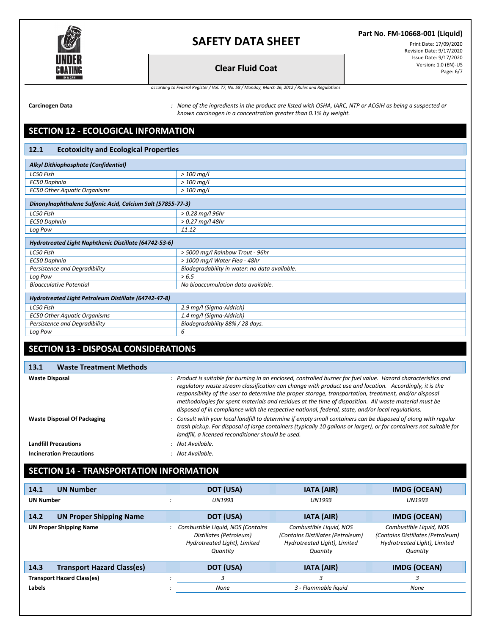

#### **Part No. FM-10668-001 (Liquid)**

Print Date: 17/09/2020 Revision Date: 9/17/2020 Issue Date: 9/17/2020 **Clear Fluid Coat** Page: 6/7

*according to Federal Register / Vol. 77, No. 58 / Monday, March 26, 2012 / Rules and Regulations*

**Carcinogen Data** *: None of the ingredients in the product are listed with OSHA, IARC, NTP or ACGIH as being a suspected or known carcinogen in a concentration greater than 0.1% by weight.*

## **SECTION 12 - ECOLOGICAL INFORMATION**

#### **12.1 Ecotoxicity and Ecological Properties**

| Alkyl Dithiophosphate (Confidential)                        |                                               |  |  |  |
|-------------------------------------------------------------|-----------------------------------------------|--|--|--|
| LC50 Fish                                                   | $>$ 100 mg/l                                  |  |  |  |
| EC50 Daphnia                                                | $> 100$ mg/l                                  |  |  |  |
| <b>EC50 Other Aquatic Organisms</b>                         | $> 100$ mg/l                                  |  |  |  |
| Dinonylnaphthalene Sulfonic Acid, Calcium Salt (57855-77-3) |                                               |  |  |  |
| LC50 Fish                                                   | $> 0.28$ mg/l 96hr                            |  |  |  |
| EC50 Daphnia                                                | $> 0.27$ mg/l 48hr                            |  |  |  |
| Log Pow                                                     | 11.12                                         |  |  |  |
| Hydrotreated Light Naphthenic Distillate (64742-53-6)       |                                               |  |  |  |
| LC50 Fish                                                   | > 5000 mg/l Rainbow Trout - 96hr              |  |  |  |
| EC50 Daphnia                                                | > 1000 mg/l Water Flea - 48hr                 |  |  |  |
| Persistence and Degradibility                               | Biodegradability in water: no data available. |  |  |  |
| Log Pow                                                     | > 6.5                                         |  |  |  |
| <b>Bioacculative Potential</b>                              | No bioaccumulation data available.            |  |  |  |
| Hydrotreated Light Petroleum Distillate (64742-47-8)        |                                               |  |  |  |
| LC50 Fish                                                   | 2.9 mg/l (Sigma-Aldrich)                      |  |  |  |
| <b>EC50 Other Aquatic Organisms</b>                         | 1.4 mg/l (Sigma-Aldrich)                      |  |  |  |
| Persistence and Degradibility                               | Biodegradability 88% / 28 days.               |  |  |  |
| Log Pow                                                     | 6                                             |  |  |  |

## **SECTION 13 - DISPOSAL CONSIDERATIONS**

#### **13.1 Waste Treatment Methods Waste Disposal** *: Product is suitable for burning in an enclosed, controlled burner for fuel value. Hazard characteristics and regulatory waste stream classification can change with product use and location. Accordingly, it is the responsibility of the user to determine the proper storage, transportation, treatment, and/or disposal methodologies for spent materials and residues at the time of disposition. All waste material must be disposed of in compliance with the respective national, federal, state, and/or local regulations.* **Waste Disposal Of Packaging** *: Consult with your local landfill to determine if empty small containers can be disposed of along with regular trash pickup. For disposal of large containers (typically 10 gallons or larger), or for containers not suitable for landfill, a licensed reconditioner should be used.*

**Landfill Precautions** *: Not Available.*

**Incineration Precautions** *: Not Available.*

## **SECTION 14 - TRANSPORTATION INFORMATION**

| 14.1             | <b>UN Number</b>                  | DOT (USA)                                                                                                | <b>IATA (AIR)</b>                                                                                        | <b>IMDG (OCEAN)</b>                                                                                      |
|------------------|-----------------------------------|----------------------------------------------------------------------------------------------------------|----------------------------------------------------------------------------------------------------------|----------------------------------------------------------------------------------------------------------|
| <b>UN Number</b> |                                   | <b>UN1993</b>                                                                                            | <b>UN1993</b>                                                                                            | <b>UN1993</b>                                                                                            |
| 14.2             | <b>UN Proper Shipping Name</b>    | DOT (USA)                                                                                                | <b>IATA (AIR)</b>                                                                                        | <b>IMDG (OCEAN)</b>                                                                                      |
|                  | <b>UN Proper Shipping Name</b>    | Combustible Liquid, NOS (Contains<br>Distillates (Petroleum)<br>Hydrotreated Light), Limited<br>Quantity | Combustible Liquid, NOS<br>(Contains Distillates (Petroleum)<br>Hydrotreated Light), Limited<br>Quantity | Combustible Liquid, NOS<br>(Contains Distillates (Petroleum)<br>Hydrotreated Light), Limited<br>Quantity |
| 14.3             | <b>Transport Hazard Class(es)</b> | DOT (USA)                                                                                                | <b>IATA (AIR)</b>                                                                                        | <b>IMDG (OCEAN)</b>                                                                                      |
|                  | <b>Transport Hazard Class(es)</b> | 3                                                                                                        | 3                                                                                                        | 3                                                                                                        |
| Labels           |                                   | None                                                                                                     | 3 - Flammable liauid                                                                                     | None                                                                                                     |